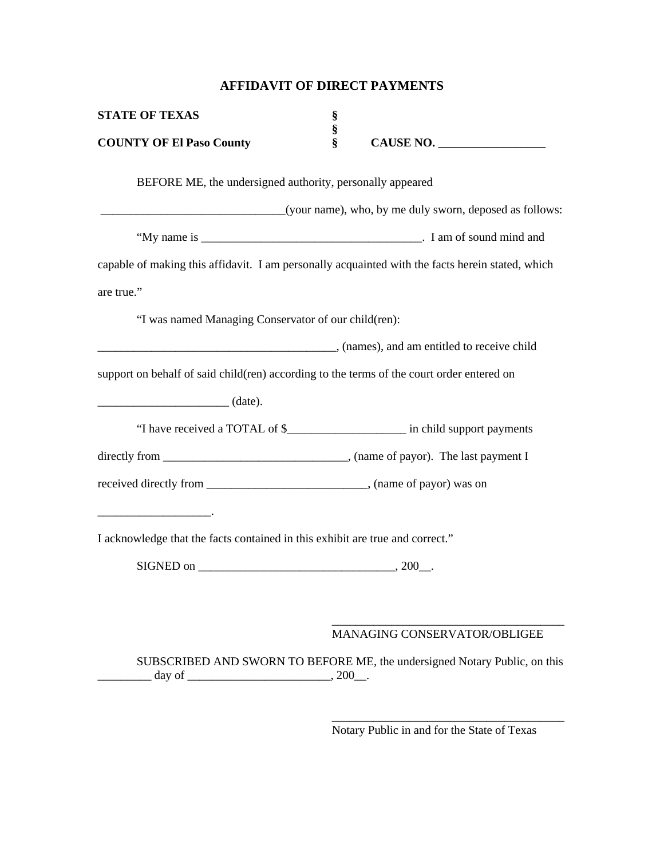## **AFFIDAVIT OF DIRECT PAYMENTS**

| <b>STATE OF TEXAS</b>                                                                     | §      |                                                                                                  |
|-------------------------------------------------------------------------------------------|--------|--------------------------------------------------------------------------------------------------|
| <b>COUNTY OF El Paso County</b>                                                           | §<br>§ | CAUSE NO.                                                                                        |
| BEFORE ME, the undersigned authority, personally appeared                                 |        |                                                                                                  |
|                                                                                           |        | (your name), who, by me duly sworn, deposed as follows:                                          |
|                                                                                           |        |                                                                                                  |
|                                                                                           |        | capable of making this affidavit. I am personally acquainted with the facts herein stated, which |
| are true."                                                                                |        |                                                                                                  |
| "I was named Managing Conservator of our child(ren):                                      |        |                                                                                                  |
|                                                                                           |        | $\sim$ (names), and am entitled to receive child                                                 |
| support on behalf of said child(ren) according to the terms of the court order entered on |        |                                                                                                  |
|                                                                                           |        |                                                                                                  |
|                                                                                           |        | "I have received a TOTAL of \$_________________________ in child support payments                |
|                                                                                           |        |                                                                                                  |
|                                                                                           |        |                                                                                                  |
|                                                                                           |        |                                                                                                  |
| I acknowledge that the facts contained in this exhibit are true and correct."             |        |                                                                                                  |
|                                                                                           |        |                                                                                                  |
|                                                                                           |        |                                                                                                  |
|                                                                                           |        | <b>MANAGING CONSERVATOR/OBLIGEE</b>                                                              |
| day of                                                                                    | .200   | SUBSCRIBED AND SWORN TO BEFORE ME, the undersigned Notary Public, on this                        |

Notary Public in and for the State of Texas

\_\_\_\_\_\_\_\_\_\_\_\_\_\_\_\_\_\_\_\_\_\_\_\_\_\_\_\_\_\_\_\_\_\_\_\_\_\_\_